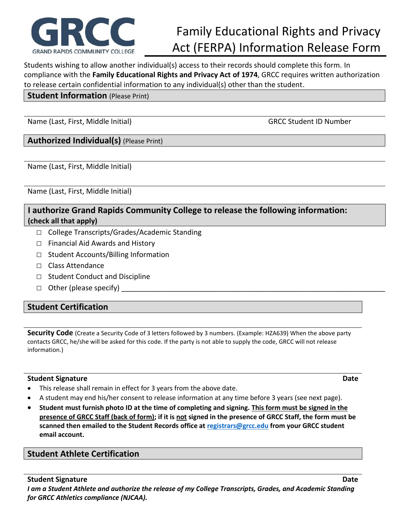

# Family Educational Rights and Privacy Act (FERPA) Information Release Form

Students wishing to allow another individual(s) access to their records should complete this form. In compliance with the **Family Educational Rights and Privacy Act of 1974**, GRCC requires written authorization to release certain confidential information to any individual(s) other than the student.

### **Student Information** (Please Print)

Name (Last, First, Middle Initial) and Social Company of GRCC Student ID Number

**Authorized Individual(s)** (Please Print)

Name (Last, First, Middle Initial)

Name (Last, First, Middle Initial)

## **I authorize Grand Rapids Community College to release the following information: (check all that apply)**

- □ College Transcripts/Grades/Academic Standing
- □ Financial Aid Awards and History
- □ Student Accounts/Billing Information
- □ Class Attendance
- □ Student Conduct and Discipline
- $\Box$  Other (please specify)

# **Student Certification**

**Security Code** (Create a Security Code of 3 letters followed by 3 numbers. (Example: HZA639) When the above party contacts GRCC, he/she will be asked for this code. If the party is not able to supply the code, GRCC will not release information.)

### **Student Signature Date**

- This release shall remain in effect for 3 years from the above date.
- A student may end his/her consent to release information at any time before 3 years (see next page).
- **Student must furnish photo ID at the time of completing and signing. This form must be signed in the presence of GRCC Staff (back of form); if it is not signed in the presence of GRCC Staff, the form must be scanned then emailed to the Student Records office at [registrars@grcc.edu](mailto:registrars@grcc.edu) from your GRCC student email account.**

## **Student Athlete Certification**